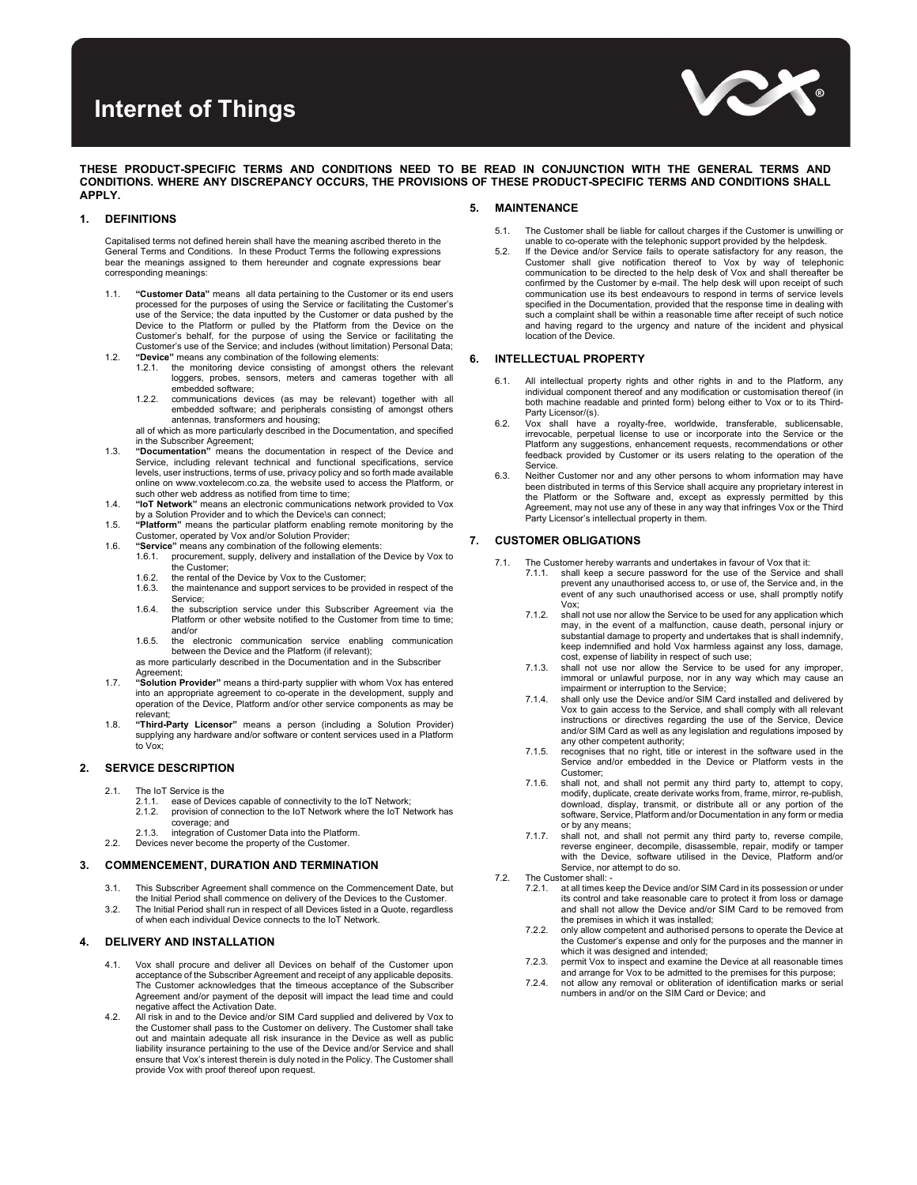# Internet of Things



THESE PRODUCT-SPECIFIC TERMS AND CONDITIONS NEED TO BE READ IN CONJUNCTION WITH THE GENERAL TERMS AND CONDITIONS. WHERE ANY DISCREPANCY OCCURS, THE PROVISIONS OF THESE PRODUCT-SPECIFIC TERMS AND CONDITIONS SHALL APPLY.

## 1. DEFINITIONS

Capitalised terms not defined herein shall have the meaning ascribed thereto in the General Terms and Conditions. In these Product Terms the following expressions bear the meanings assigned to them hereunder and cognate expressions bear corresponding meanings:

- 1.1. "Customer Data" means all data pertaining to the Customer or its end users processed for the purposes of using the Service or facilitating the Customer's use of the Service; the data inputted by the Customer or data pushed by the Device to the Platform or pulled by the Platform from the Device on the Customer's behalf, for the purpose of using the Service or facilitating the Customer's use of the Service; and includes (without limitation) Personal Data;
- 1.2. "Device" means any combination of the following elements: 1.2.1. the monitoring device consisting of amongst others the relevant
	- loggers, probes, sensors, meters and cameras together with all embedded software; 1.2.2. communications devices (as may be relevant) together with all
	- embedded software; and peripherals consisting of amongst others antennas, transformers and housing;

all of which as more particularly described in the Documentation, and specified in the Subscriber Agreement;<br>1.3. **"Documentation**" means the documentation in respect of the Device and

- Service, including relevant technical and functional specifications, service levels, user instructions, terms of use, privacy policy and so forth made available online on www.voxtelecom.co.za, the website used to access the Platform, or such other web address as notified from time to time;
- 1.4. "IoT Network" means an electronic communications network provided to Vox by a Solution Provider and to which the Device\s can connect;
- 1.5. "Platform" means the particular platform enabling remote monitoring by the Customer, operated by Vox and/or Solution Provider;
- 1.6. "Service" means any combination of the following elements:<br>1.6.1. procurement. supply. delivery and installation of the procurement, supply, delivery and installation of the Device by Vox to
	- the Customer;
	- 1.6.2. the rental of the Device by Vox to the Customer;<br>1.6.3. the maintenance and support services to be prothe maintenance and support services to be provided in respect of the Service;
	- 1.6.4. the subscription service under this Subscriber Agreement via the Platform or other website notified to the Customer from time to time; and/or
	- 1.6.5. the electronic communication service enabling communication between the Device and the Platform (if relevant);
	- as more particularly described in the Documentation and in the Subscriber Agreement;
- 1.7. "Solution Provider" means a third-party supplier with whom Vox has entered into an appropriate agreement to co-operate in the development, supply and operation of the Device, Platform and/or other service components as may be relevant;
- 1.8. "Third-Party Licensor" means a person (including a Solution Provider) supplying any hardware and/or software or content services used in a Platform to Vox;

#### 2. SERVICE DESCRIPTION

- 2.1. The IoT Service is the
	- 2.1.1. ease of Devices capable of connectivity to the IoT Network;<br>2.1.2. provision of connection to the IoT Network where the IoT Network
	- 2.1.2. provision of connection to the IoT Network where the IoT Network has coverage; and
	- 2.1.3. integration of Customer Data into the Platform.
- 2.2. Devices never become the property of the Customer.

### 3. COMMENCEMENT, DURATION AND TERMINATION

- 3.1. This Subscriber Agreement shall commence on the Commencement Date, but
- the Initial Period shall commence on delivery of the Devices to the Custome 3.2. The Initial Period shall run in respect of all Devices listed in a Quote, regardless of when each individual Device connects to the IoT Network.

## 4. DELIVERY AND INSTALLATION

- 4.1. Vox shall procure and deliver all Devices on behalf of the Customer upon acceptance of the Subscriber Agreement and receipt of any applicable deposits. The Customer acknowledges that the timeous acceptance of the Subscriber Agreement and/or payment of the deposit will impact the lead time and could negative affect the Activation Date.
- 4.2. All risk in and to the Device and/or SIM Card supplied and delivered by Vox to the Customer shall pass to the Customer on delivery. The Customer shall take out and maintain adequate all risk insurance in the Device as well as public liability insurance pertaining to the use of the Device and/or Service and shall ensure that Vox's interest therein is duly noted in the Policy. The Customer shall provide Vox with proof thereof upon request.

#### 5. MAINTENANCE

- 5.1. The Customer shall be liable for callout charges if the Customer is unwilling or unable to co-operate with the telephonic support provided by the helpdesk.
- 5.2. If the Device and/or Service fails to operate satisfactory for any reason, the Customer shall give notification thereof to Vox by way of telephonic communication to be directed to the help desk of Vox and shall thereafter be confirmed by the Customer by e-mail. The help desk will upon receipt of such communication use its best endeavours to respond in terms of service levels specified in the Documentation, provided that the response time in dealing with such a complaint shall be within a reasonable time after receipt of such notice and having regard to the urgency and nature of the incident and physical location of the Device.

## 6. INTELLECTUAL PROPERTY

- 6.1. All intellectual property rights and other rights in and to the Platform, any individual component thereof and any modification or customisation thereof (in both machine readable and printed form) belong either to Vox or to its Third-Party Licensor/(s).
- 6.2. Vox shall have a royalty-free, worldwide, transferable, sublicensable, irrevocable, perpetual license to use or incorporate into the Service or the Platform any suggestions, enhancement requests, recommendations or other feedback provided by Customer or its users relating to the operation of the **Service**
- 6.3. Neither Customer nor and any other persons to whom information may have been distributed in terms of this Service shall acquire any proprietary interest in the Platform or the Software and, except as expressly permitted by this Agreement, may not use any of these in any way that infringes Vox or the Third Party Licensor's intellectual property in them.

## 7. CUSTOMER OBLIGATIONS

- 7.1. The Customer hereby warrants and undertakes in favour of Vox that it:<br>7.1.1. shall keep a secure password for the use of the Service and shall keep a secure password for the use of the Service and shall prevent any unauthorised access to, or use of, the Service and, in the event of any such unauthorised access or use, shall promptly notify Vox;
	- 7.1.2. shall not use nor allow the Service to be used for any application which may, in the event of a malfunction, cause death, personal injury or substantial damage to property and undertakes that is shall indemnify, keep indemnified and hold Vox harmless against any loss, damage, cost, expense of liability in respect of such use;
	- 7.1.3. shall not use nor allow the Service to be used for any improper, immoral or unlawful purpose, nor in any way which may cause an impairment or interruption to the Service;
	- 7.1.4. shall only use the Device and/or SIM Card installed and delivered by Vox to gain access to the Service, and shall comply with all relevant instructions or directives regarding the use of the Service, Device and/or SIM Card as well as any legislation and regulations imposed by any other competent authority;
	- 7.1.5. recognises that no right, title or interest in the software used in the Service and/or embedded in the Device or Platform vests in the Customer;
	- 7.1.6. shall not, and shall not permit any third party to, attempt to copy, modify, duplicate, create derivate works from, frame, mirror, re-publish, download, display, transmit, or distribute all or any portion of the software, Service, Platform and/or Documentation in any form or media or by any means;
	- 7.1.7. shall not, and shall not permit any third party to, reverse compile, reverse engineer, decompile, disassemble, repair, modify or tamper with the Device, software utilised in the Device, Platform and/or Service, nor attempt to do so.
- 7.2. The Customer shall: -<br>7.2.1. at all times ke
	- at all times keep the Device and/or SIM Card in its possession or under its control and take reasonable care to protect it from loss or damage and shall not allow the Device and/or SIM Card to be removed from the premises in which it was installed;
	- 7.2.2. only allow competent and authorised persons to operate the Device at the Customer's expense and only for the purposes and the manner in which it was designed and intended;
	- 7.2.3. permit Vox to inspect and examine the Device at all reasonable times and arrange for Vox to be admitted to the premises for this purpose;
	- 7.2.4. not allow any removal or obliteration of identification marks or serial numbers in and/or on the SIM Card or Device; and